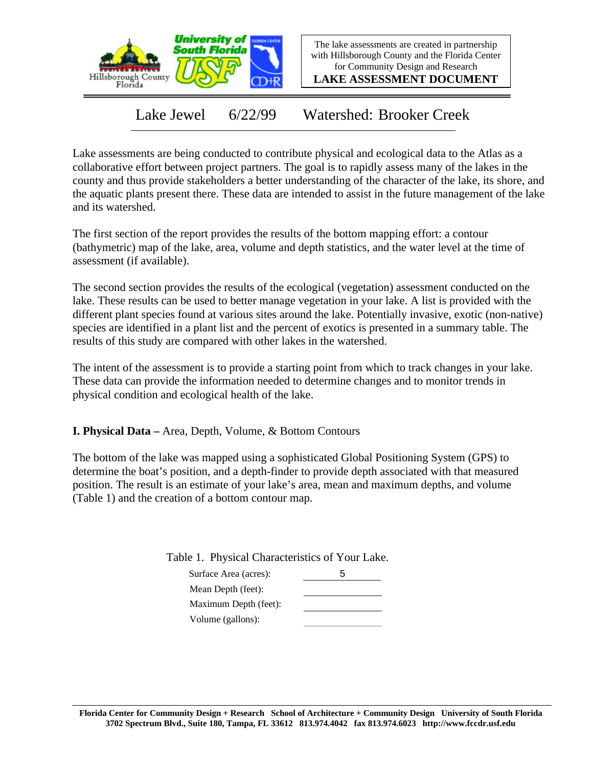

The lake assessments are created in partnership with Hillsborough County and the Florida Center for Community Design and Research

**LAKE ASSESSMENT DOCUMENT**

Lake Jewel 6/22/99 Watershed: Brooker Creek

Lake assessments are being conducted to contribute physical and ecological data to the Atlas as a collaborative effort between project partners. The goal is to rapidly assess many of the lakes in the county and thus provide stakeholders a better understanding of the character of the lake, its shore, and the aquatic plants present there. These data are intended to assist in the future management of the lake and its watershed.

The first section of the report provides the results of the bottom mapping effort: a contour (bathymetric) map of the lake, area, volume and depth statistics, and the water level at the time of assessment (if available).

The second section provides the results of the ecological (vegetation) assessment conducted on the lake. These results can be used to better manage vegetation in your lake. A list is provided with the different plant species found at various sites around the lake. Potentially invasive, exotic (non-native) species are identified in a plant list and the percent of exotics is presented in a summary table. The results of this study are compared with other lakes in the watershed.

The intent of the assessment is to provide a starting point from which to track changes in your lake. These data can provide the information needed to determine changes and to monitor trends in physical condition and ecological health of the lake.

**I. Physical Data –** Area, Depth, Volume, & Bottom Contours

The bottom of the lake was mapped using a sophisticated Global Positioning System (GPS) to determine the boat's position, and a depth-finder to provide depth associated with that measured position. The result is an estimate of your lake's area, mean and maximum depths, and volume (Table 1) and the creation of a bottom contour map.

Table 1. Physical Characteristics of Your Lake.

| Surface Area (acres): | h |
|-----------------------|---|
| Mean Depth (feet):    |   |
| Maximum Depth (feet): |   |
| Volume (gallons):     |   |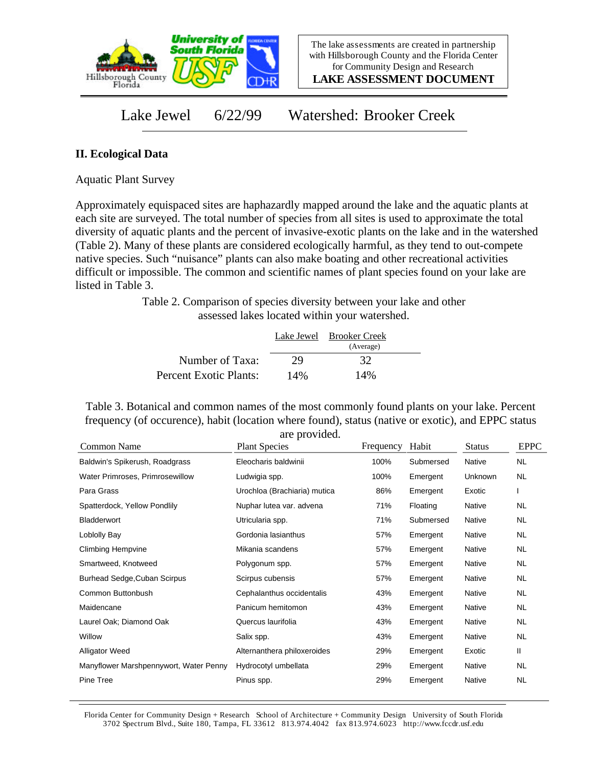

**LAKE ASSESSMENT DOCUMENT**

Lake Jewel 6/22/99 Watershed: Brooker Creek

## **II. Ecological Data**

Aquatic Plant Survey

Approximately equispaced sites are haphazardly mapped around the lake and the aquatic plants at each site are surveyed. The total number of species from all sites is used to approximate the total diversity of aquatic plants and the percent of invasive-exotic plants on the lake and in the watershed (Table 2). Many of these plants are considered ecologically harmful, as they tend to out-compete native species. Such "nuisance" plants can also make boating and other recreational activities difficult or impossible. The common and scientific names of plant species found on your lake are listed in Table 3.

> Table 2. Comparison of species diversity between your lake and other assessed lakes located within your watershed.

|                        |     | Lake Jewel Brooker Creek<br>(Average) |  |
|------------------------|-----|---------------------------------------|--|
| Number of Taxa:        | 29  | 32                                    |  |
| Percent Exotic Plants: | 14% | 14%                                   |  |

Table 3. Botanical and common names of the most commonly found plants on your lake. Percent frequency (of occurence), habit (location where found), status (native or exotic), and EPPC status are provided.

| Common Name                            | <b>Plant Species</b>         | Frequency | Habit     | <b>Status</b>  | <b>EPPC</b> |
|----------------------------------------|------------------------------|-----------|-----------|----------------|-------------|
| Baldwin's Spikerush, Roadgrass         | Eleocharis baldwinii         | 100%      | Submersed | <b>Native</b>  | <b>NL</b>   |
| Water Primroses, Primrosewillow        | Ludwigia spp.                | 100%      | Emergent  | <b>Unknown</b> | NL.         |
| Para Grass                             | Urochloa (Brachiaria) mutica | 86%       | Emergent  | Exotic         |             |
| Spatterdock, Yellow Pondlily           | Nuphar lutea var. advena     | 71%       | Floating  | Native         | NL.         |
| Bladderwort                            | Utricularia spp.             | 71%       | Submersed | Native         | NL.         |
| Loblolly Bay                           | Gordonia lasianthus          | 57%       | Emergent  | Native         | NL.         |
| <b>Climbing Hempvine</b>               | Mikania scandens             | 57%       | Emergent  | Native         | <b>NL</b>   |
| Smartweed, Knotweed                    | Polygonum spp.               | 57%       | Emergent  | Native         | NL.         |
| <b>Burhead Sedge, Cuban Scirpus</b>    | Scirpus cubensis             | 57%       | Emergent  | Native         | NL          |
| Common Buttonbush                      | Cephalanthus occidentalis    | 43%       | Emergent  | Native         | NL.         |
| Maidencane                             | Panicum hemitomon            | 43%       | Emergent  | Native         | NL.         |
| Laurel Oak; Diamond Oak                | Quercus laurifolia           | 43%       | Emergent  | Native         | NL.         |
| Willow                                 | Salix spp.                   | 43%       | Emergent  | Native         | NL.         |
| <b>Alligator Weed</b>                  | Alternanthera philoxeroides  | 29%       | Emergent  | Exotic         | Ш           |
| Manyflower Marshpennywort, Water Penny | Hydrocotyl umbellata         | 29%       | Emergent  | Native         | <b>NL</b>   |
| Pine Tree                              | Pinus spp.                   | 29%       | Emergent  | Native         | <b>NL</b>   |

Florida Center for Community Design + Research School of Architecture + Community Design University of South Florida 3702 Spectrum Blvd., Suite 180, Tampa, FL 33612 813.974.4042 fax 813.974.6023 http://www.fccdr.usf.edu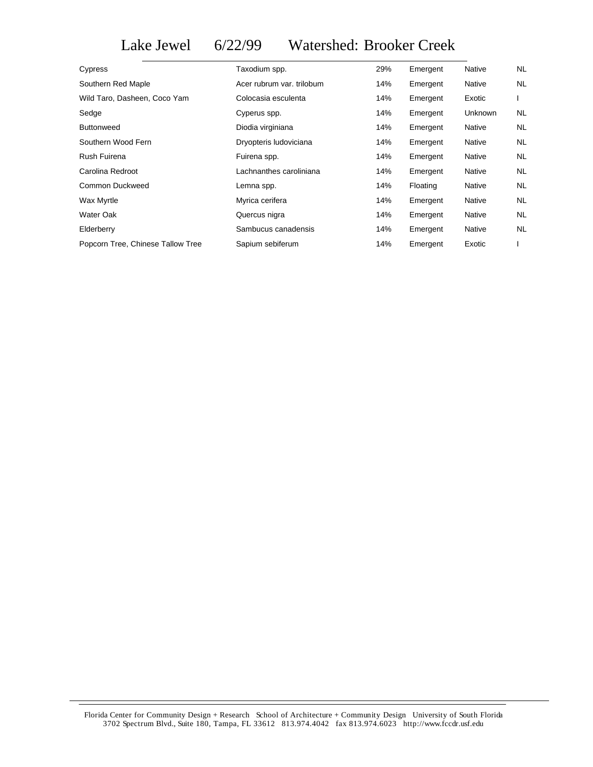Lake Jewel 6/22/99 Watershed: Brooker Creek

| Cypress                           | Taxodium spp.             | 29% | Emergent | <b>Native</b>  | NL.       |
|-----------------------------------|---------------------------|-----|----------|----------------|-----------|
| Southern Red Maple                | Acer rubrum var. trilobum | 14% | Emergent | <b>Native</b>  | <b>NL</b> |
| Wild Taro, Dasheen, Coco Yam      | Colocasia esculenta       | 14% | Emergent | Exotic         |           |
| Sedge                             | Cyperus spp.              | 14% | Emergent | <b>Unknown</b> | NL.       |
| <b>Buttonweed</b>                 | Diodia virginiana         | 14% | Emergent | <b>Native</b>  | <b>NL</b> |
| Southern Wood Fern                | Dryopteris Iudoviciana    | 14% | Emergent | Native         | <b>NL</b> |
| Rush Fuirena                      | Fuirena spp.              | 14% | Emergent | <b>Native</b>  | <b>NL</b> |
| Carolina Redroot                  | Lachnanthes caroliniana   | 14% | Emergent | <b>Native</b>  | <b>NL</b> |
| Common Duckweed                   | Lemna spp.                | 14% | Floating | Native         | <b>NL</b> |
| Wax Myrtle                        | Myrica cerifera           | 14% | Emergent | <b>Native</b>  | <b>NL</b> |
| Water Oak                         | Quercus nigra             | 14% | Emergent | Native         | <b>NL</b> |
| Elderberry                        | Sambucus canadensis       | 14% | Emergent | <b>Native</b>  | <b>NL</b> |
| Popcorn Tree, Chinese Tallow Tree | Sapium sebiferum          | 14% | Emergent | Exotic         |           |
|                                   |                           |     |          |                |           |

Florida Center for Community Design + Research School of Architecture + Community Design University of South Florida 3702 Spectrum Blvd., Suite 180, Tampa, FL 33612 813.974.4042 fax 813.974.6023 http://www.fccdr.usf.edu